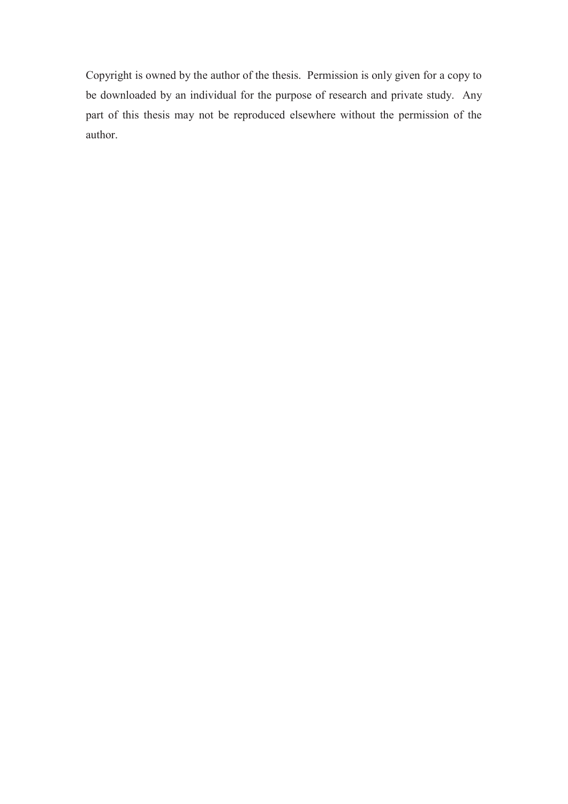Copyright is owned by the author of the thesis. Permission is only given for a copy to be downloaded by an individual for the purpose of research and private study. Any part of this thesis may not be reproduced elsewhere without the permission of the author.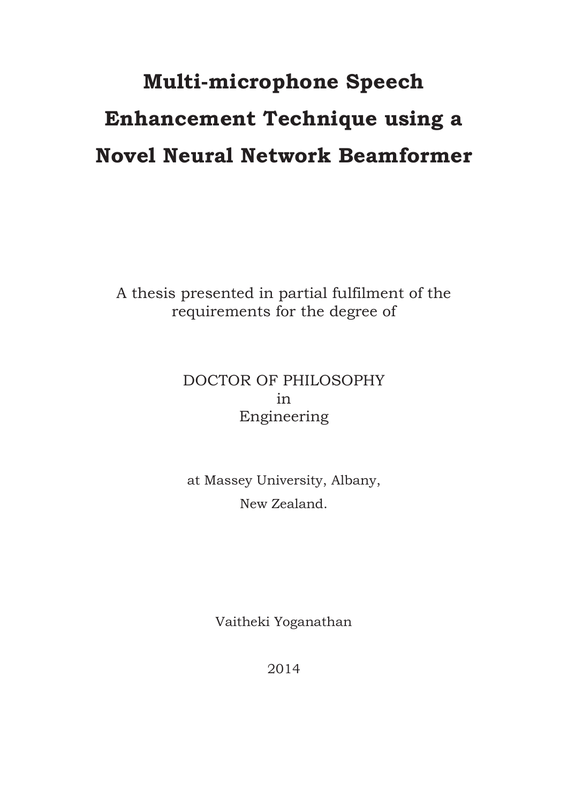# **Multi-microphone Speech Enhancement Technique using a Novel Neural Network Beamformer**

A thesis presented in partial fulfilment of the requirements for the degree of

#### DOCTOR OF PHILOSOPHY in Engineering

#### at Massey University, Albany, New Zealand.

Vaitheki Yoganathan

2014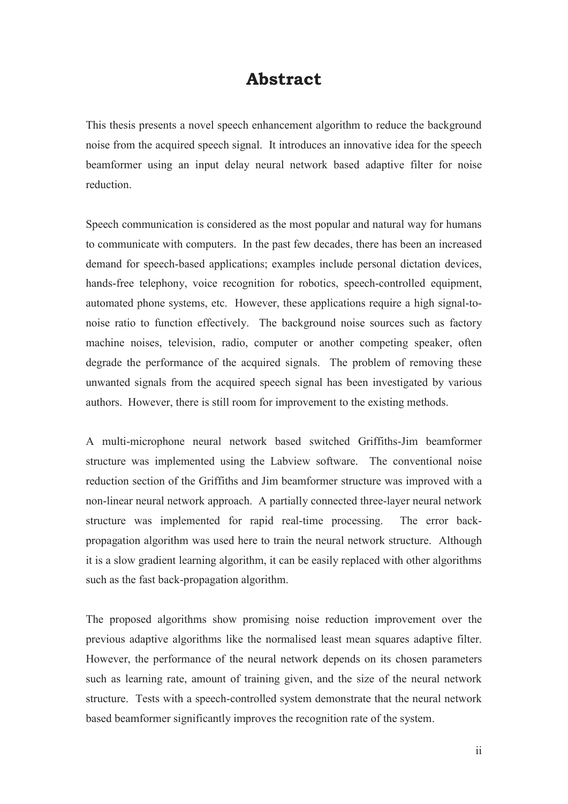#### **Abstract**

This thesis presents a novel speech enhancement algorithm to reduce the background noise from the acquired speech signal. It introduces an innovative idea for the speech beamformer using an input delay neural network based adaptive filter for noise reduction.

Speech communication is considered as the most popular and natural way for humans to communicate with computers. In the past few decades, there has been an increased demand for speech-based applications; examples include personal dictation devices, hands-free telephony, voice recognition for robotics, speech-controlled equipment, automated phone systems, etc. However, these applications require a high signal-tonoise ratio to function effectively. The background noise sources such as factory machine noises, television, radio, computer or another competing speaker, often degrade the performance of the acquired signals. The problem of removing these unwanted signals from the acquired speech signal has been investigated by various authors. However, there is still room for improvement to the existing methods.

A multi-microphone neural network based switched Griffiths-Jim beamformer structure was implemented using the Labview software. The conventional noise reduction section of the Griffiths and Jim beamformer structure was improved with a non-linear neural network approach. A partially connected three-layer neural network structure was implemented for rapid real-time processing. The error backpropagation algorithm was used here to train the neural network structure. Although it is a slow gradient learning algorithm, it can be easily replaced with other algorithms such as the fast back-propagation algorithm.

The proposed algorithms show promising noise reduction improvement over the previous adaptive algorithms like the normalised least mean squares adaptive filter. However, the performance of the neural network depends on its chosen parameters such as learning rate, amount of training given, and the size of the neural network structure. Tests with a speech-controlled system demonstrate that the neural network based beamformer significantly improves the recognition rate of the system.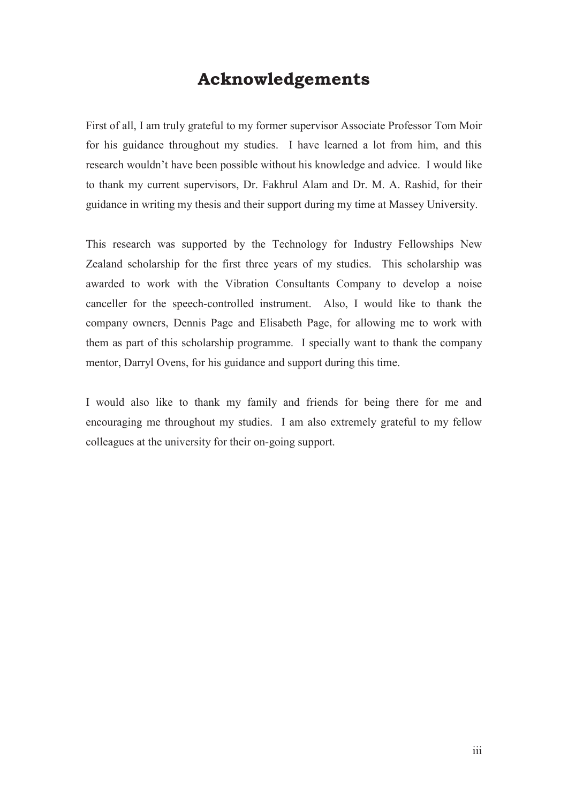#### **Acknowledgements**

First of all, I am truly grateful to my former supervisor Associate Professor Tom Moir for his guidance throughout my studies. I have learned a lot from him, and this research wouldn't have been possible without his knowledge and advice. I would like to thank my current supervisors, Dr. Fakhrul Alam and Dr. M. A. Rashid, for their guidance in writing my thesis and their support during my time at Massey University.

This research was supported by the Technology for Industry Fellowships New Zealand scholarship for the first three years of my studies. This scholarship was awarded to work with the Vibration Consultants Company to develop a noise canceller for the speech-controlled instrument. Also, I would like to thank the company owners, Dennis Page and Elisabeth Page, for allowing me to work with them as part of this scholarship programme. I specially want to thank the company mentor, Darryl Ovens, for his guidance and support during this time.

I would also like to thank my family and friends for being there for me and encouraging me throughout my studies. I am also extremely grateful to my fellow colleagues at the university for their on-going support.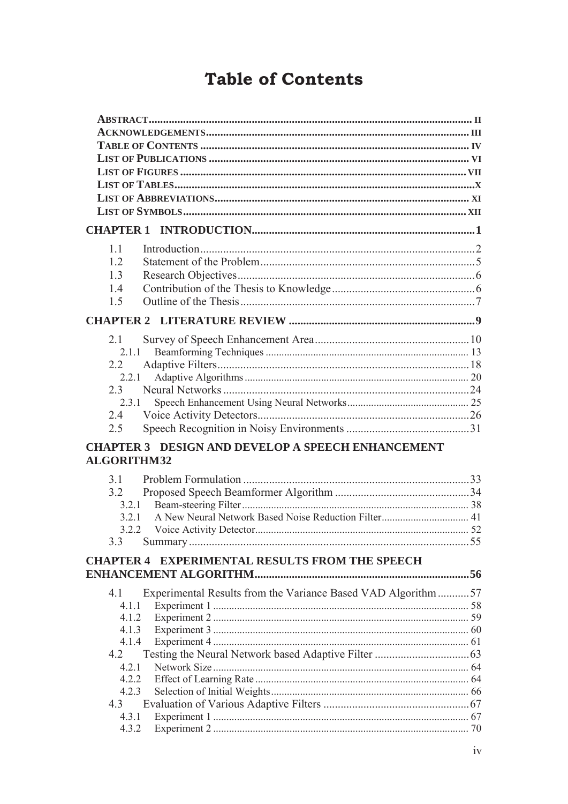## **Table of Contents**

| 1.1                                                                            |  |
|--------------------------------------------------------------------------------|--|
| 1.2                                                                            |  |
| 1.3                                                                            |  |
| 14                                                                             |  |
| 1.5                                                                            |  |
|                                                                                |  |
| 21                                                                             |  |
| 2.1.1                                                                          |  |
| $2.2^{\circ}$                                                                  |  |
| 2.2.1                                                                          |  |
| 2.3                                                                            |  |
| 2.3.1                                                                          |  |
| 2.4<br>2.5                                                                     |  |
|                                                                                |  |
| <b>CHAPTER 3 DESIGN AND DEVELOP A SPEECH ENHANCEMENT</b><br><b>ALGORITHM32</b> |  |
| 3.1                                                                            |  |
| 3.2                                                                            |  |
| 3.2.1                                                                          |  |
| A New Neural Network Based Noise Reduction Filter 41<br>3.2.1                  |  |
| 3.2.2                                                                          |  |
| 3.3                                                                            |  |
| <b>EXPERIMENTAL RESULTS FROM THE SPEECH</b><br><b>CHAPTER 4</b>                |  |
|                                                                                |  |
| 4.1<br>Experimental Results from the Variance Based VAD Algorithm57            |  |
| 4.1.1<br>4.1.2                                                                 |  |
| 4.1.3                                                                          |  |
| 4.1.4                                                                          |  |
| 4.2                                                                            |  |
| 4.2.1                                                                          |  |
| 4.2.2                                                                          |  |
| 4.2.3                                                                          |  |
| 4.3                                                                            |  |
| 4.3.1                                                                          |  |
| 4.3.2                                                                          |  |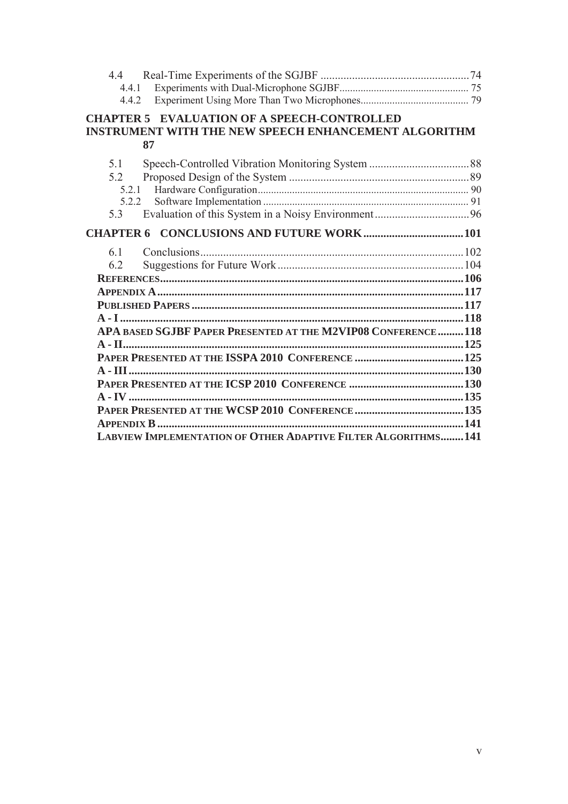| 4.4.1                                                                                                                   |  |
|-------------------------------------------------------------------------------------------------------------------------|--|
| 4.4.2                                                                                                                   |  |
| <b>CHAPTER 5 EVALUATION OF A SPEECH-CONTROLLED</b><br><b>INSTRUMENT WITH THE NEW SPEECH ENHANCEMENT ALGORITHM</b><br>87 |  |
| 5.1                                                                                                                     |  |
| 5.2                                                                                                                     |  |
| 521                                                                                                                     |  |
| 5.2.2                                                                                                                   |  |
| 5.3                                                                                                                     |  |
|                                                                                                                         |  |
| 6.1                                                                                                                     |  |
| 6.2                                                                                                                     |  |
|                                                                                                                         |  |
|                                                                                                                         |  |
|                                                                                                                         |  |
|                                                                                                                         |  |
| APA BASED SGJBF PAPER PRESENTED AT THE M2VIP08 CONFERENCE118                                                            |  |
|                                                                                                                         |  |
|                                                                                                                         |  |
|                                                                                                                         |  |
|                                                                                                                         |  |
|                                                                                                                         |  |
|                                                                                                                         |  |
|                                                                                                                         |  |
| LABVIEW IMPLEMENTATION OF OTHER ADAPTIVE FILTER ALGORITHMS 141                                                          |  |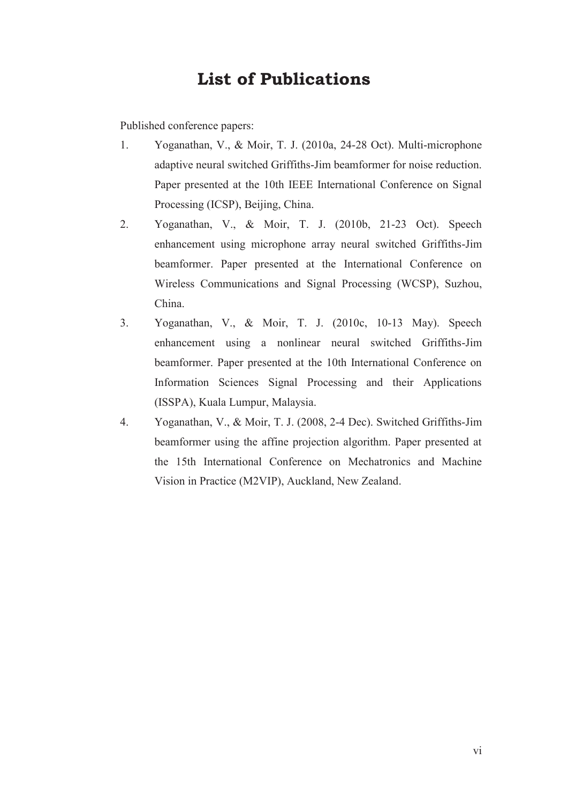#### **List of Publications**

Published conference papers:

- 1. Yoganathan, V., & Moir, T. J. (2010a, 24-28 Oct). Multi-microphone adaptive neural switched Griffiths-Jim beamformer for noise reduction. Paper presented at the 10th IEEE International Conference on Signal Processing (ICSP), Beijing, China.
- 2. Yoganathan, V., & Moir, T. J. (2010b, 21-23 Oct). Speech enhancement using microphone array neural switched Griffiths-Jim beamformer. Paper presented at the International Conference on Wireless Communications and Signal Processing (WCSP), Suzhou, China.
- 3. Yoganathan, V., & Moir, T. J. (2010c, 10-13 May). Speech enhancement using a nonlinear neural switched Griffiths-Jim beamformer. Paper presented at the 10th International Conference on Information Sciences Signal Processing and their Applications (ISSPA), Kuala Lumpur, Malaysia.
- 4. Yoganathan, V., & Moir, T. J. (2008, 2-4 Dec). Switched Griffiths-Jim beamformer using the affine projection algorithm. Paper presented at the 15th International Conference on Mechatronics and Machine Vision in Practice (M2VIP), Auckland, New Zealand.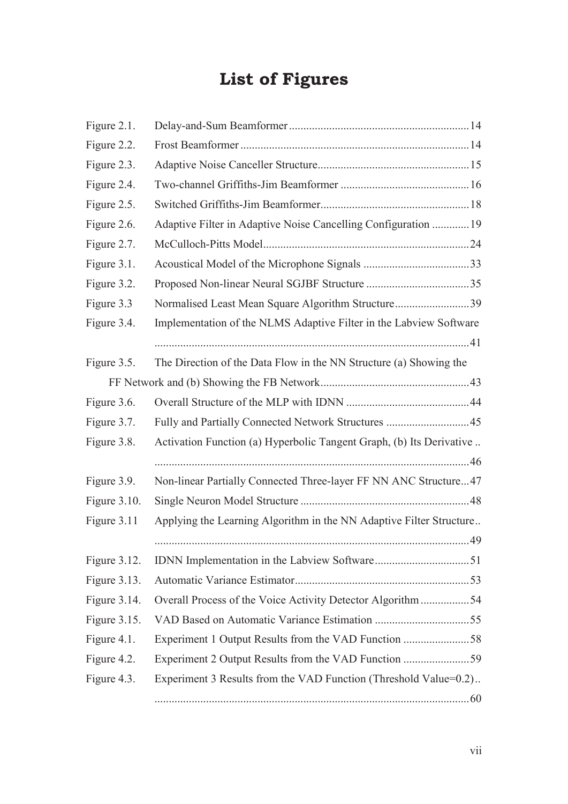## **List of Figures**

| Figure 2.1.  |                                                                      |  |
|--------------|----------------------------------------------------------------------|--|
| Figure 2.2.  |                                                                      |  |
| Figure 2.3.  |                                                                      |  |
| Figure 2.4.  |                                                                      |  |
| Figure 2.5.  |                                                                      |  |
| Figure 2.6.  | Adaptive Filter in Adaptive Noise Cancelling Configuration  19       |  |
| Figure 2.7.  |                                                                      |  |
| Figure 3.1.  |                                                                      |  |
| Figure 3.2.  |                                                                      |  |
| Figure 3.3   | Normalised Least Mean Square Algorithm Structure39                   |  |
| Figure 3.4.  | Implementation of the NLMS Adaptive Filter in the Labview Software   |  |
|              |                                                                      |  |
| Figure 3.5.  | The Direction of the Data Flow in the NN Structure (a) Showing the   |  |
|              |                                                                      |  |
| Figure 3.6.  |                                                                      |  |
| Figure 3.7.  | Fully and Partially Connected Network Structures 45                  |  |
| Figure 3.8.  | Activation Function (a) Hyperbolic Tangent Graph, (b) Its Derivative |  |
|              |                                                                      |  |
| Figure 3.9.  | Non-linear Partially Connected Three-layer FF NN ANC Structure47     |  |
| Figure 3.10. |                                                                      |  |
| Figure 3.11  | Applying the Learning Algorithm in the NN Adaptive Filter Structure  |  |
|              |                                                                      |  |
| Figure 3.12. |                                                                      |  |
| Figure 3.13. |                                                                      |  |
| Figure 3.14. | Overall Process of the Voice Activity Detector Algorithm 54          |  |
| Figure 3.15. |                                                                      |  |
| Figure 4.1.  | Experiment 1 Output Results from the VAD Function 58                 |  |
| Figure 4.2.  |                                                                      |  |
| Figure 4.3.  | Experiment 3 Results from the VAD Function (Threshold Value=0.2)     |  |
|              |                                                                      |  |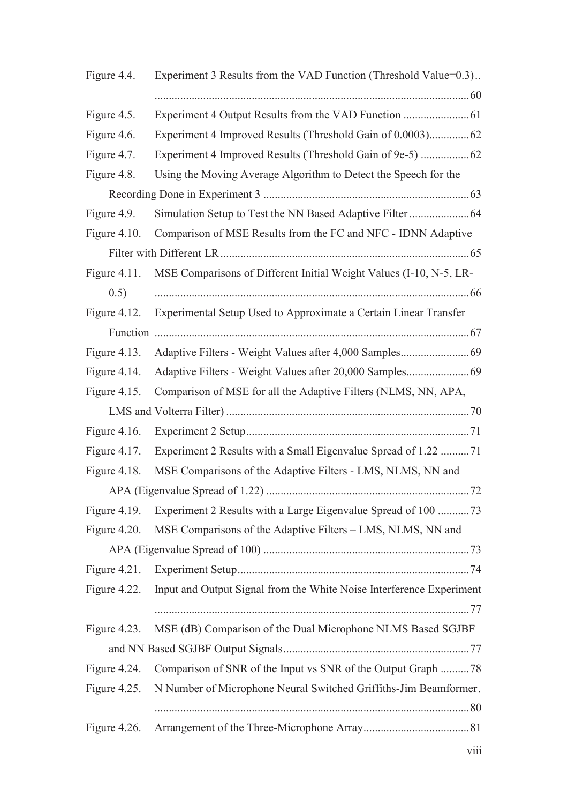| Figure 4.5.<br>Experiment 4 Improved Results (Threshold Gain of 0.0003) 62<br>Figure 4.6.<br>Figure 4.7.<br>Using the Moving Average Algorithm to Detect the Speech for the<br>Figure 4.8.<br>Figure 4.9.<br>Figure $4.10$ .<br>Comparison of MSE Results from the FC and NFC - IDNN Adaptive<br>MSE Comparisons of Different Initial Weight Values (I-10, N-5, LR-<br>Figure $4.11$ .<br>0.5)<br>Experimental Setup Used to Approximate a Certain Linear Transfer<br>Figure $4.12$ .<br>Figure $4.13$ .<br>Figure 4.14. |
|--------------------------------------------------------------------------------------------------------------------------------------------------------------------------------------------------------------------------------------------------------------------------------------------------------------------------------------------------------------------------------------------------------------------------------------------------------------------------------------------------------------------------|
|                                                                                                                                                                                                                                                                                                                                                                                                                                                                                                                          |
|                                                                                                                                                                                                                                                                                                                                                                                                                                                                                                                          |
|                                                                                                                                                                                                                                                                                                                                                                                                                                                                                                                          |
|                                                                                                                                                                                                                                                                                                                                                                                                                                                                                                                          |
|                                                                                                                                                                                                                                                                                                                                                                                                                                                                                                                          |
|                                                                                                                                                                                                                                                                                                                                                                                                                                                                                                                          |
|                                                                                                                                                                                                                                                                                                                                                                                                                                                                                                                          |
|                                                                                                                                                                                                                                                                                                                                                                                                                                                                                                                          |
|                                                                                                                                                                                                                                                                                                                                                                                                                                                                                                                          |
|                                                                                                                                                                                                                                                                                                                                                                                                                                                                                                                          |
|                                                                                                                                                                                                                                                                                                                                                                                                                                                                                                                          |
|                                                                                                                                                                                                                                                                                                                                                                                                                                                                                                                          |
|                                                                                                                                                                                                                                                                                                                                                                                                                                                                                                                          |
|                                                                                                                                                                                                                                                                                                                                                                                                                                                                                                                          |
|                                                                                                                                                                                                                                                                                                                                                                                                                                                                                                                          |
| Comparison of MSE for all the Adaptive Filters (NLMS, NN, APA,<br>Figure 4.15.                                                                                                                                                                                                                                                                                                                                                                                                                                           |
|                                                                                                                                                                                                                                                                                                                                                                                                                                                                                                                          |
| Figure $4.16$ .                                                                                                                                                                                                                                                                                                                                                                                                                                                                                                          |
| Figure 4.17.<br>Experiment 2 Results with a Small Eigenvalue Spread of 1.22 71                                                                                                                                                                                                                                                                                                                                                                                                                                           |
| MSE Comparisons of the Adaptive Filters - LMS, NLMS, NN and<br>Figure 4.18.                                                                                                                                                                                                                                                                                                                                                                                                                                              |
|                                                                                                                                                                                                                                                                                                                                                                                                                                                                                                                          |
| Figure 4.19.                                                                                                                                                                                                                                                                                                                                                                                                                                                                                                             |
| MSE Comparisons of the Adaptive Filters – LMS, NLMS, NN and<br>Figure 4.20.                                                                                                                                                                                                                                                                                                                                                                                                                                              |
|                                                                                                                                                                                                                                                                                                                                                                                                                                                                                                                          |
| Figure 4.21.                                                                                                                                                                                                                                                                                                                                                                                                                                                                                                             |
| Input and Output Signal from the White Noise Interference Experiment<br>Figure 4.22.                                                                                                                                                                                                                                                                                                                                                                                                                                     |
|                                                                                                                                                                                                                                                                                                                                                                                                                                                                                                                          |
| MSE (dB) Comparison of the Dual Microphone NLMS Based SGJBF<br>Figure 4.23.                                                                                                                                                                                                                                                                                                                                                                                                                                              |
|                                                                                                                                                                                                                                                                                                                                                                                                                                                                                                                          |
| Figure 4.24.                                                                                                                                                                                                                                                                                                                                                                                                                                                                                                             |
| N Number of Microphone Neural Switched Griffiths-Jim Beamformer.<br>Figure 4.25.                                                                                                                                                                                                                                                                                                                                                                                                                                         |
|                                                                                                                                                                                                                                                                                                                                                                                                                                                                                                                          |
| Figure 4.26.                                                                                                                                                                                                                                                                                                                                                                                                                                                                                                             |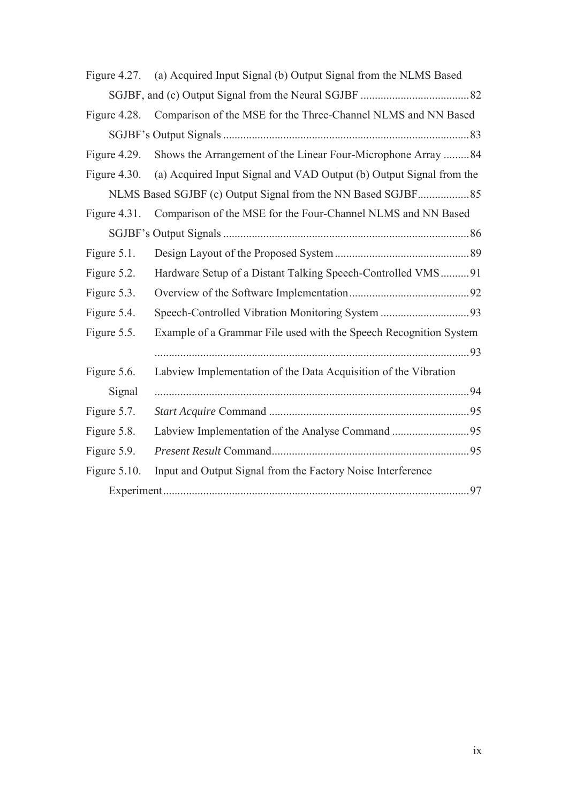| Figure $4.27$ . | (a) Acquired Input Signal (b) Output Signal from the NLMS Based     |  |
|-----------------|---------------------------------------------------------------------|--|
|                 |                                                                     |  |
| Figure 4.28.    | Comparison of the MSE for the Three-Channel NLMS and NN Based       |  |
|                 |                                                                     |  |
| Figure 4.29.    | Shows the Arrangement of the Linear Four-Microphone Array 84        |  |
| Figure $4.30$ . | (a) Acquired Input Signal and VAD Output (b) Output Signal from the |  |
|                 |                                                                     |  |
| Figure $4.31$ . | Comparison of the MSE for the Four-Channel NLMS and NN Based        |  |
|                 |                                                                     |  |
| Figure 5.1.     |                                                                     |  |
| Figure 5.2.     | Hardware Setup of a Distant Talking Speech-Controlled VMS91         |  |
| Figure 5.3.     |                                                                     |  |
| Figure 5.4.     |                                                                     |  |
| Figure 5.5.     | Example of a Grammar File used with the Speech Recognition System   |  |
|                 |                                                                     |  |
| Figure 5.6.     | Labview Implementation of the Data Acquisition of the Vibration     |  |
| Signal          |                                                                     |  |
| Figure 5.7.     |                                                                     |  |
| Figure 5.8.     |                                                                     |  |
| Figure 5.9.     |                                                                     |  |
| Figure $5.10$ . | Input and Output Signal from the Factory Noise Interference         |  |
|                 |                                                                     |  |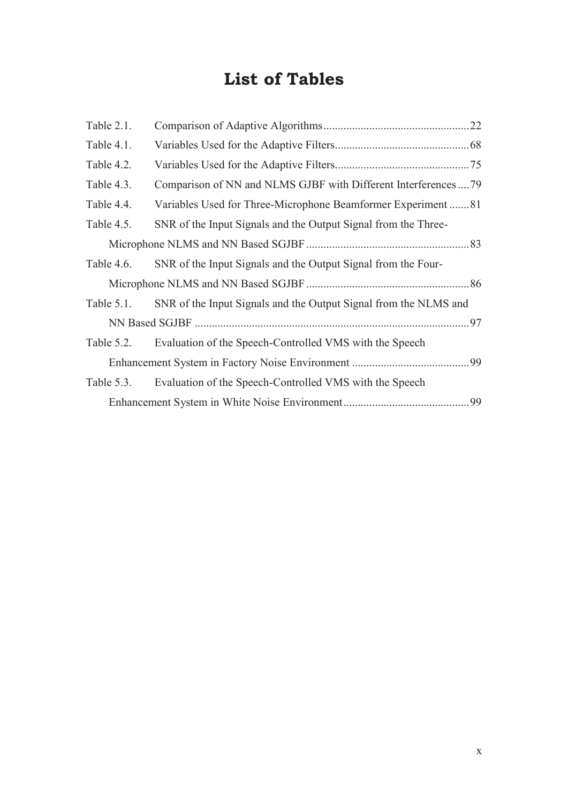## **List of Tables**

| Table 2.1.    |                                                                  |    |
|---------------|------------------------------------------------------------------|----|
| Table 4.1.    |                                                                  |    |
| Table 4.2.    |                                                                  |    |
| Table 4.3.    | Comparison of NN and NLMS GJBF with Different Interferences  79  |    |
| Table 4.4.    | Variables Used for Three-Microphone Beamformer Experiment 81     |    |
| Table 4.5.    | SNR of the Input Signals and the Output Signal from the Three-   |    |
|               |                                                                  |    |
| Table 4.6.    | SNR of the Input Signals and the Output Signal from the Four-    |    |
|               |                                                                  |    |
| Table $5.1$ . | SNR of the Input Signals and the Output Signal from the NLMS and |    |
|               |                                                                  |    |
| Table 5.2.    | Evaluation of the Speech-Controlled VMS with the Speech          |    |
|               |                                                                  |    |
| Table 5.3.    | Evaluation of the Speech-Controlled VMS with the Speech          |    |
|               |                                                                  | 99 |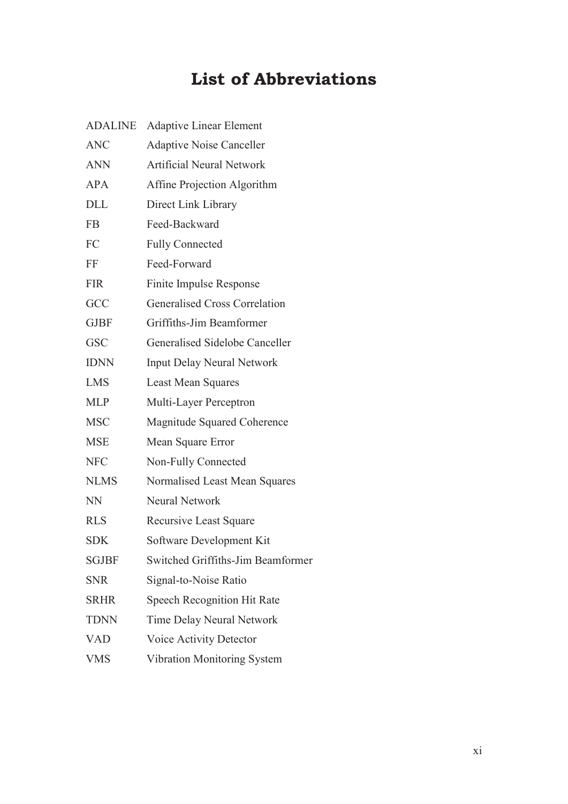## **List of Abbreviations**

| <b>Adaptive Linear Element</b>       |
|--------------------------------------|
| <b>Adaptive Noise Canceller</b>      |
| <b>Artificial Neural Network</b>     |
| Affine Projection Algorithm          |
| Direct Link Library                  |
| Feed-Backward                        |
| <b>Fully Connected</b>               |
| Feed-Forward                         |
| Finite Impulse Response              |
| <b>Generalised Cross Correlation</b> |
| Griffiths-Jim Beamformer             |
| Generalised Sidelobe Canceller       |
| <b>Input Delay Neural Network</b>    |
| <b>Least Mean Squares</b>            |
| Multi-Layer Perceptron               |
| <b>Magnitude Squared Coherence</b>   |
| Mean Square Error                    |
| Non-Fully Connected                  |
| Normalised Least Mean Squares        |
| <b>Neural Network</b>                |
| Recursive Least Square               |
| Software Development Kit             |
| Switched Griffiths-Jim Beamformer    |
| Signal-to-Noise Ratio                |
| <b>Speech Recognition Hit Rate</b>   |
| <b>Time Delay Neural Network</b>     |
| <b>Voice Activity Detector</b>       |
| Vibration Monitoring System          |
|                                      |